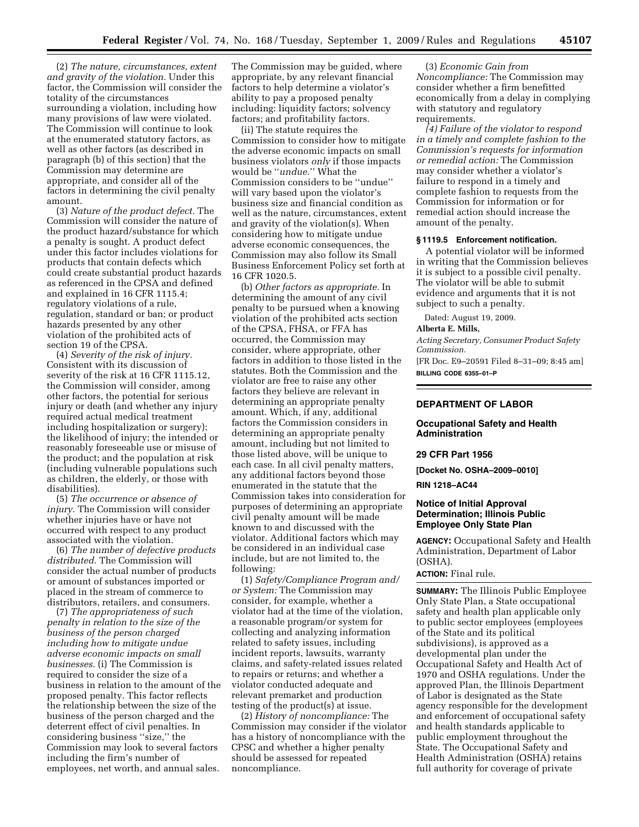(2) *The nature, circumstances, extent and gravity of the violation.* Under this factor, the Commission will consider the totality of the circumstances surrounding a violation, including how many provisions of law were violated. The Commission will continue to look at the enumerated statutory factors, as well as other factors (as described in paragraph (b) of this section) that the Commission may determine are appropriate, and consider all of the factors in determining the civil penalty amount.

(3) *Nature of the product defect.* The Commission will consider the nature of the product hazard/substance for which a penalty is sought. A product defect under this factor includes violations for products that contain defects which could create substantial product hazards as referenced in the CPSA and defined and explained in 16 CFR 1115.4; regulatory violations of a rule, regulation, standard or ban; or product hazards presented by any other violation of the prohibited acts of section 19 of the CPSA.

(4) *Severity of the risk of injury.*  Consistent with its discussion of severity of the risk at 16 CFR 1115.12, the Commission will consider, among other factors, the potential for serious injury or death (and whether any injury required actual medical treatment including hospitalization or surgery); the likelihood of injury; the intended or reasonably foreseeable use or misuse of the product; and the population at risk (including vulnerable populations such as children, the elderly, or those with disabilities).

(5) *The occurrence or absence of injury.* The Commission will consider whether injuries have or have not occurred with respect to any product associated with the violation.

(6) *The number of defective products distributed.* The Commission will consider the actual number of products or amount of substances imported or placed in the stream of commerce to distributors, retailers, and consumers.

(7) *The appropriateness of such penalty in relation to the size of the business of the person charged including how to mitigate undue adverse economic impacts on small businesses.* (i) The Commission is required to consider the size of a business in relation to the amount of the proposed penalty. This factor reflects the relationship between the size of the business of the person charged and the deterrent effect of civil penalties. In considering business ''size,'' the Commission may look to several factors including the firm's number of employees, net worth, and annual sales.

The Commission may be guided, where appropriate, by any relevant financial factors to help determine a violator's ability to pay a proposed penalty including: liquidity factors; solvency factors; and profitability factors.

(ii) The statute requires the Commission to consider how to mitigate the adverse economic impacts on small business violators *only* if those impacts would be ''*undue.*'' What the Commission considers to be ''undue'' will vary based upon the violator's business size and financial condition as well as the nature, circumstances, extent and gravity of the violation(s). When considering how to mitigate undue adverse economic consequences, the Commission may also follow its Small Business Enforcement Policy set forth at 16 CFR 1020.5.

(b) *Other factors as appropriate.* In determining the amount of any civil penalty to be pursued when a knowing violation of the prohibited acts section of the CPSA, FHSA, or FFA has occurred, the Commission may consider, where appropriate, other factors in addition to those listed in the statutes. Both the Commission and the violator are free to raise any other factors they believe are relevant in determining an appropriate penalty amount. Which, if any, additional factors the Commission considers in determining an appropriate penalty amount, including but not limited to those listed above, will be unique to each case. In all civil penalty matters, any additional factors beyond those enumerated in the statute that the Commission takes into consideration for purposes of determining an appropriate civil penalty amount will be made known to and discussed with the violator. Additional factors which may be considered in an individual case include, but are not limited to, the following:

(1) *Safety/Compliance Program and/ or System:* The Commission may consider, for example, whether a violator had at the time of the violation, a reasonable program/or system for collecting and analyzing information related to safety issues, including incident reports, lawsuits, warranty claims, and safety-related issues related to repairs or returns; and whether a violator conducted adequate and relevant premarket and production testing of the product(s) at issue.

(2) *History of noncompliance:* The Commission may consider if the violator has a history of noncompliance with the CPSC and whether a higher penalty should be assessed for repeated noncompliance.

(3) *Economic Gain from Noncompliance:* The Commission may consider whether a firm benefitted economically from a delay in complying with statutory and regulatory requirements.

*(4) Failure of the violator to respond in a timely and complete fashion to the Commission's requests for information or remedial action:* The Commission may consider whether a violator's failure to respond in a timely and complete fashion to requests from the Commission for information or for remedial action should increase the amount of the penalty.

## **§ 1119.5 Enforcement notification.**

A potential violator will be informed in writing that the Commission believes it is subject to a possible civil penalty. The violator will be able to submit evidence and arguments that it is not subject to such a penalty.

Dated: August 19, 2009.

#### **Alberta E. Mills,**

*Acting Secretary, Consumer Product Safety Commission.* 

[FR Doc. E9–20591 Filed 8–31–09; 8:45 am] **BILLING CODE 6355–01–P** 

## **DEPARTMENT OF LABOR**

## **Occupational Safety and Health Administration**

## **29 CFR Part 1956**

**[Docket No. OSHA–2009–0010] RIN 1218–AC44** 

# **Notice of Initial Approval Determination; Illinois Public Employee Only State Plan**

**AGENCY:** Occupational Safety and Health Administration, Department of Labor (OSHA).

# **ACTION:** Final rule.

**SUMMARY:** The Illinois Public Employee Only State Plan, a State occupational safety and health plan applicable only to public sector employees (employees of the State and its political subdivisions), is approved as a developmental plan under the Occupational Safety and Health Act of 1970 and OSHA regulations. Under the approved Plan, the Illinois Department of Labor is designated as the State agency responsible for the development and enforcement of occupational safety and health standards applicable to public employment throughout the State. The Occupational Safety and Health Administration (OSHA) retains full authority for coverage of private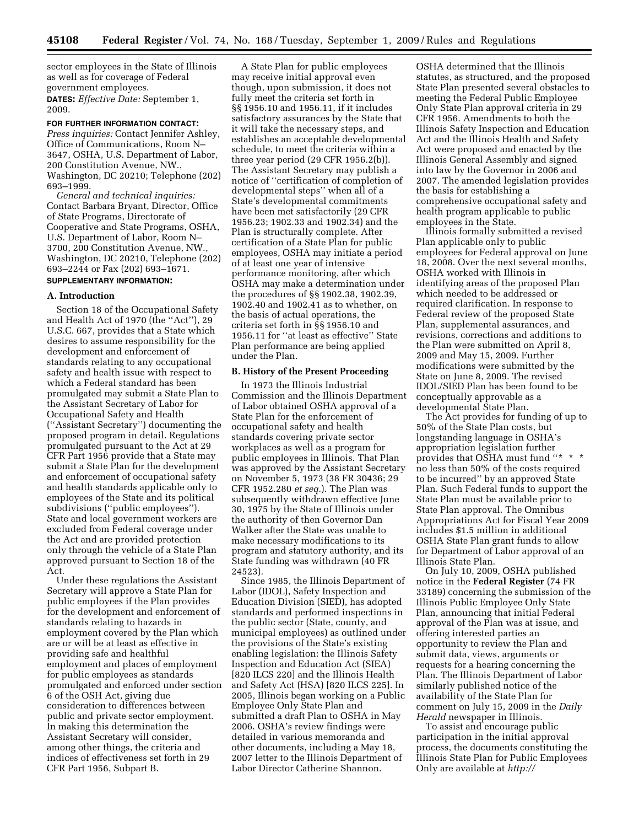sector employees in the State of Illinois as well as for coverage of Federal government employees.

**DATES:** *Effective Date:* September 1, 2009.

## **FOR FURTHER INFORMATION CONTACT:**

*Press inquiries:* Contact Jennifer Ashley, Office of Communications, Room N– 3647, OSHA, U.S. Department of Labor, 200 Constitution Avenue, NW., Washington, DC 20210; Telephone (202) 693–1999.

*General and technical inquiries:*  Contact Barbara Bryant, Director, Office of State Programs, Directorate of Cooperative and State Programs, OSHA, U.S. Department of Labor, Room N– 3700, 200 Constitution Avenue, NW., Washington, DC 20210, Telephone (202) 693–2244 or Fax (202) 693–1671. **SUPPLEMENTARY INFORMATION:** 

#### **A. Introduction**

Section 18 of the Occupational Safety and Health Act of 1970 (the ''Act''), 29 U.S.C. 667, provides that a State which desires to assume responsibility for the development and enforcement of standards relating to any occupational safety and health issue with respect to which a Federal standard has been promulgated may submit a State Plan to the Assistant Secretary of Labor for Occupational Safety and Health (''Assistant Secretary'') documenting the proposed program in detail. Regulations promulgated pursuant to the Act at 29 CFR Part 1956 provide that a State may submit a State Plan for the development and enforcement of occupational safety and health standards applicable only to employees of the State and its political subdivisions (''public employees''). State and local government workers are excluded from Federal coverage under the Act and are provided protection only through the vehicle of a State Plan approved pursuant to Section 18 of the Act.

Under these regulations the Assistant Secretary will approve a State Plan for public employees if the Plan provides for the development and enforcement of standards relating to hazards in employment covered by the Plan which are or will be at least as effective in providing safe and healthful employment and places of employment for public employees as standards promulgated and enforced under section 6 of the OSH Act, giving due consideration to differences between public and private sector employment. In making this determination the Assistant Secretary will consider, among other things, the criteria and indices of effectiveness set forth in 29 CFR Part 1956, Subpart B.

A State Plan for public employees may receive initial approval even though, upon submission, it does not fully meet the criteria set forth in §§ 1956.10 and 1956.11, if it includes satisfactory assurances by the State that it will take the necessary steps, and establishes an acceptable developmental schedule, to meet the criteria within a three year period (29 CFR 1956.2(b)). The Assistant Secretary may publish a notice of ''certification of completion of developmental steps'' when all of a State's developmental commitments have been met satisfactorily (29 CFR 1956.23; 1902.33 and 1902.34) and the Plan is structurally complete. After certification of a State Plan for public employees, OSHA may initiate a period of at least one year of intensive performance monitoring, after which OSHA may make a determination under the procedures of §§ 1902.38, 1902.39, 1902.40 and 1902.41 as to whether, on the basis of actual operations, the criteria set forth in §§ 1956.10 and 1956.11 for ''at least as effective'' State Plan performance are being applied under the Plan.

## **B. History of the Present Proceeding**

In 1973 the Illinois Industrial Commission and the Illinois Department of Labor obtained OSHA approval of a State Plan for the enforcement of occupational safety and health standards covering private sector workplaces as well as a program for public employees in Illinois. That Plan was approved by the Assistant Secretary on November 5, 1973 (38 FR 30436; 29 CFR 1952.280 *et seq.*). The Plan was subsequently withdrawn effective June 30, 1975 by the State of Illinois under the authority of then Governor Dan Walker after the State was unable to make necessary modifications to its program and statutory authority, and its State funding was withdrawn (40 FR 24523).

Since 1985, the Illinois Department of Labor (IDOL), Safety Inspection and Education Division (SIED), has adopted standards and performed inspections in the public sector (State, county, and municipal employees) as outlined under the provisions of the State's existing enabling legislation: the Illinois Safety Inspection and Education Act (SIEA) [820 ILCS 220] and the Illinois Health and Safety Act (HSA) [820 ILCS 225]. In 2005, Illinois began working on a Public Employee Only State Plan and submitted a draft Plan to OSHA in May 2006. OSHA's review findings were detailed in various memoranda and other documents, including a May 18, 2007 letter to the Illinois Department of Labor Director Catherine Shannon.

OSHA determined that the Illinois statutes, as structured, and the proposed State Plan presented several obstacles to meeting the Federal Public Employee Only State Plan approval criteria in 29 CFR 1956. Amendments to both the Illinois Safety Inspection and Education Act and the Illinois Health and Safety Act were proposed and enacted by the Illinois General Assembly and signed into law by the Governor in 2006 and 2007. The amended legislation provides the basis for establishing a comprehensive occupational safety and health program applicable to public employees in the State.

Illinois formally submitted a revised Plan applicable only to public employees for Federal approval on June 18, 2008. Over the next several months, OSHA worked with Illinois in identifying areas of the proposed Plan which needed to be addressed or required clarification. In response to Federal review of the proposed State Plan, supplemental assurances, and revisions, corrections and additions to the Plan were submitted on April 8, 2009 and May 15, 2009. Further modifications were submitted by the State on June 8, 2009. The revised IDOL/SIED Plan has been found to be conceptually approvable as a developmental State Plan.

The Act provides for funding of up to 50% of the State Plan costs, but longstanding language in OSHA's appropriation legislation further provides that OSHA must fund ''\*  $\,$  \*  $\,$  \* no less than 50% of the costs required to be incurred'' by an approved State Plan. Such Federal funds to support the State Plan must be available prior to State Plan approval. The Omnibus Appropriations Act for Fiscal Year 2009 includes \$1.5 million in additional OSHA State Plan grant funds to allow for Department of Labor approval of an Illinois State Plan.

On July 10, 2009, OSHA published notice in the **Federal Register** (74 FR 33189) concerning the submission of the Illinois Public Employee Only State Plan, announcing that initial Federal approval of the Plan was at issue, and offering interested parties an opportunity to review the Plan and submit data, views, arguments or requests for a hearing concerning the Plan. The Illinois Department of Labor similarly published notice of the availability of the State Plan for comment on July 15, 2009 in the *Daily Herald* newspaper in Illinois.

To assist and encourage public participation in the initial approval process, the documents constituting the Illinois State Plan for Public Employees Only are available at *[http://](http://www.regulations.gov)*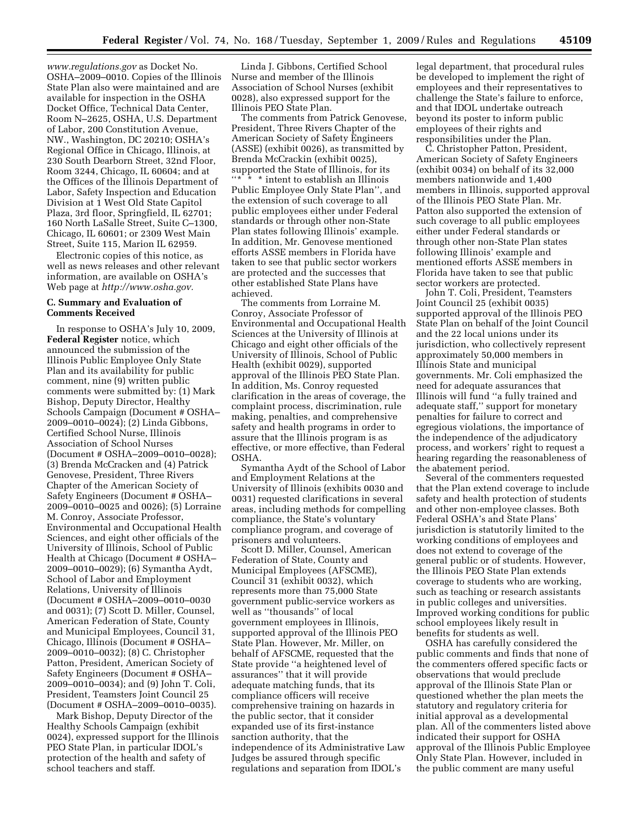*[www.regulations.gov](http://www.regulations.gov)* as Docket No. OSHA–2009–0010. Copies of the Illinois State Plan also were maintained and are available for inspection in the OSHA Docket Office, Technical Data Center, Room N–2625, OSHA, U.S. Department of Labor, 200 Constitution Avenue, NW., Washington, DC 20210; OSHA's Regional Office in Chicago, Illinois, at 230 South Dearborn Street, 32nd Floor, Room 3244, Chicago, IL 60604; and at the Offices of the Illinois Department of Labor, Safety Inspection and Education Division at 1 West Old State Capitol Plaza, 3rd floor, Springfield, IL 62701; 160 North LaSalle Street, Suite C–1300, Chicago, IL 60601; or 2309 West Main Street, Suite 115, Marion IL 62959.

Electronic copies of this notice, as well as news releases and other relevant information, are available on OSHA's Web page at *[http://www.osha.gov.](http://www.osha.gov)* 

# **C. Summary and Evaluation of Comments Received**

In response to OSHA's July 10, 2009, **Federal Register** notice, which announced the submission of the Illinois Public Employee Only State Plan and its availability for public comment, nine (9) written public comments were submitted by: (1) Mark Bishop, Deputy Director, Healthy Schools Campaign (Document # OSHA– 2009–0010–0024); (2) Linda Gibbons, Certified School Nurse, Illinois Association of School Nurses (Document # OSHA–2009–0010–0028); (3) Brenda McCracken and (4) Patrick Genovese, President, Three Rivers Chapter of the American Society of Safety Engineers (Document # OSHA– 2009–0010–0025 and 0026); (5) Lorraine M. Conroy, Associate Professor, Environmental and Occupational Health Sciences, and eight other officials of the University of Illinois, School of Public Health at Chicago (Document # OSHA– 2009–0010–0029); (6) Symantha Aydt, School of Labor and Employment Relations, University of Illinois (Document # OSHA–2009–0010–0030 and 0031); (7) Scott D. Miller, Counsel, American Federation of State, County and Municipal Employees, Council 31, Chicago, Illinois (Document # OSHA– 2009–0010–0032); (8) C. Christopher Patton, President, American Society of Safety Engineers (Document # OSHA– 2009–0010–0034); and (9) John T. Coli, President, Teamsters Joint Council 25 (Document # OSHA–2009–0010–0035).

Mark Bishop, Deputy Director of the Healthy Schools Campaign (exhibit 0024), expressed support for the Illinois PEO State Plan, in particular IDOL's protection of the health and safety of school teachers and staff.

Linda J. Gibbons, Certified School Nurse and member of the Illinois Association of School Nurses (exhibit 0028), also expressed support for the Illinois PEO State Plan.

The comments from Patrick Genovese, President, Three Rivers Chapter of the American Society of Safety Engineers (ASSE) (exhibit 0026), as transmitted by Brenda McCrackin (exhibit 0025), supported the State of Illinois, for its ''\* \* \* intent to establish an Illinois Public Employee Only State Plan'', and the extension of such coverage to all public employees either under Federal standards or through other non-State Plan states following Illinois' example. In addition, Mr. Genovese mentioned efforts ASSE members in Florida have taken to see that public sector workers are protected and the successes that other established State Plans have achieved.

The comments from Lorraine M. Conroy, Associate Professor of Environmental and Occupational Health Sciences at the University of Illinois at Chicago and eight other officials of the University of Illinois, School of Public Health (exhibit 0029), supported approval of the Illinois PEO State Plan. In addition, Ms. Conroy requested clarification in the areas of coverage, the complaint process, discrimination, rule making, penalties, and comprehensive safety and health programs in order to assure that the Illinois program is as effective, or more effective, than Federal OSHA.

Symantha Aydt of the School of Labor and Employment Relations at the University of Illinois (exhibits 0030 and 0031) requested clarifications in several areas, including methods for compelling compliance, the State's voluntary compliance program, and coverage of prisoners and volunteers.

Scott D. Miller, Counsel, American Federation of State, County and Municipal Employees (AFSCME), Council 31 (exhibit 0032), which represents more than 75,000 State government public-service workers as well as ''thousands'' of local government employees in Illinois, supported approval of the Illinois PEO State Plan. However, Mr. Miller, on behalf of AFSCME, requested that the State provide ''a heightened level of assurances'' that it will provide adequate matching funds, that its compliance officers will receive comprehensive training on hazards in the public sector, that it consider expanded use of its first-instance sanction authority, that the independence of its Administrative Law Judges be assured through specific regulations and separation from IDOL's

legal department, that procedural rules be developed to implement the right of employees and their representatives to challenge the State's failure to enforce, and that IDOL undertake outreach beyond its poster to inform public employees of their rights and responsibilities under the Plan.

C. Christopher Patton, President, American Society of Safety Engineers (exhibit 0034) on behalf of its 32,000 members nationwide and 1,400 members in Illinois, supported approval of the Illinois PEO State Plan. Mr. Patton also supported the extension of such coverage to all public employees either under Federal standards or through other non-State Plan states following Illinois' example and mentioned efforts ASSE members in Florida have taken to see that public sector workers are protected.

John T. Coli, President, Teamsters Joint Council 25 (exhibit 0035) supported approval of the Illinois PEO State Plan on behalf of the Joint Council and the 22 local unions under its jurisdiction, who collectively represent approximately 50,000 members in Illinois State and municipal governments. Mr. Coli emphasized the need for adequate assurances that Illinois will fund ''a fully trained and adequate staff,'' support for monetary penalties for failure to correct and egregious violations, the importance of the independence of the adjudicatory process, and workers' right to request a hearing regarding the reasonableness of the abatement period.

Several of the commenters requested that the Plan extend coverage to include safety and health protection of students and other non-employee classes. Both Federal OSHA's and State Plans' jurisdiction is statutorily limited to the working conditions of employees and does not extend to coverage of the general public or of students. However, the Illinois PEO State Plan extends coverage to students who are working, such as teaching or research assistants in public colleges and universities. Improved working conditions for public school employees likely result in benefits for students as well.

OSHA has carefully considered the public comments and finds that none of the commenters offered specific facts or observations that would preclude approval of the Illinois State Plan or questioned whether the plan meets the statutory and regulatory criteria for initial approval as a developmental plan. All of the commenters listed above indicated their support for OSHA approval of the Illinois Public Employee Only State Plan. However, included in the public comment are many useful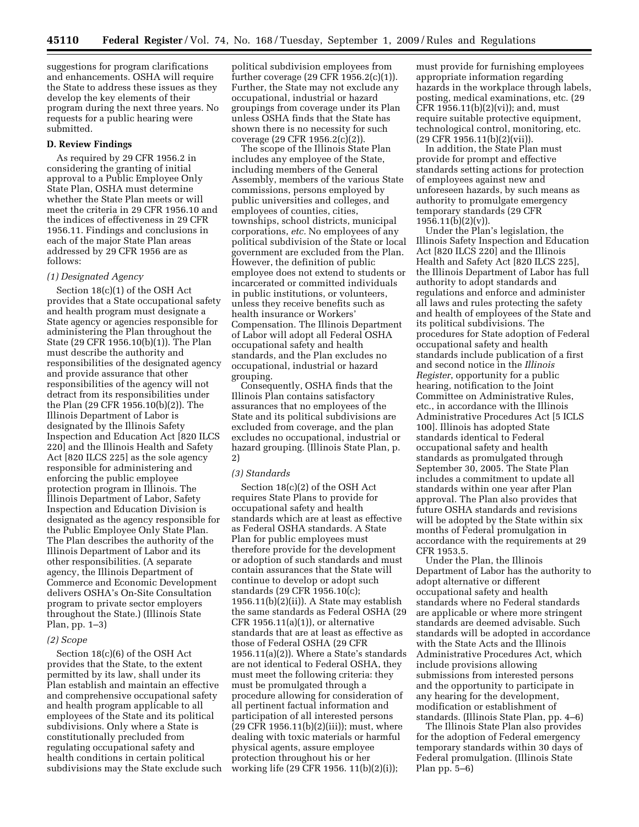suggestions for program clarifications and enhancements. OSHA will require the State to address these issues as they develop the key elements of their program during the next three years. No requests for a public hearing were submitted.

## **D. Review Findings**

As required by 29 CFR 1956.2 in considering the granting of initial approval to a Public Employee Only State Plan, OSHA must determine whether the State Plan meets or will meet the criteria in 29 CFR 1956.10 and the indices of effectiveness in 29 CFR 1956.11. Findings and conclusions in each of the major State Plan areas addressed by 29 CFR 1956 are as follows:

#### *(1) Designated Agency*

Section 18(c)(1) of the OSH Act provides that a State occupational safety and health program must designate a State agency or agencies responsible for administering the Plan throughout the State (29 CFR 1956.10(b)(1)). The Plan must describe the authority and responsibilities of the designated agency and provide assurance that other responsibilities of the agency will not detract from its responsibilities under the Plan (29 CFR 1956.10(b)(2)). The Illinois Department of Labor is designated by the Illinois Safety Inspection and Education Act [820 ILCS 220] and the Illinois Health and Safety Act [820 ILCS 225] as the sole agency responsible for administering and enforcing the public employee protection program in Illinois. The Illinois Department of Labor, Safety Inspection and Education Division is designated as the agency responsible for the Public Employee Only State Plan. The Plan describes the authority of the Illinois Department of Labor and its other responsibilities. (A separate agency, the Illinois Department of Commerce and Economic Development delivers OSHA's On-Site Consultation program to private sector employers throughout the State.) (Illinois State Plan, pp. 1–3)

#### *(2) Scope*

Section 18(c)(6) of the OSH Act provides that the State, to the extent permitted by its law, shall under its Plan establish and maintain an effective and comprehensive occupational safety and health program applicable to all employees of the State and its political subdivisions. Only where a State is constitutionally precluded from regulating occupational safety and health conditions in certain political subdivisions may the State exclude such

political subdivision employees from further coverage (29 CFR 1956.2(c)(1)). Further, the State may not exclude any occupational, industrial or hazard groupings from coverage under its Plan unless OSHA finds that the State has shown there is no necessity for such coverage (29 CFR 1956.2(c)(2)).

The scope of the Illinois State Plan includes any employee of the State, including members of the General Assembly, members of the various State commissions, persons employed by public universities and colleges, and employees of counties, cities, townships, school districts, municipal corporations, *etc.* No employees of any political subdivision of the State or local government are excluded from the Plan. However, the definition of public employee does not extend to students or incarcerated or committed individuals in public institutions, or volunteers, unless they receive benefits such as health insurance or Workers' Compensation. The Illinois Department of Labor will adopt all Federal OSHA occupational safety and health standards, and the Plan excludes no occupational, industrial or hazard grouping.

Consequently, OSHA finds that the Illinois Plan contains satisfactory assurances that no employees of the State and its political subdivisions are excluded from coverage, and the plan excludes no occupational, industrial or hazard grouping. (Illinois State Plan, p. 2)

### *(3) Standards*

Section 18(c)(2) of the OSH Act requires State Plans to provide for occupational safety and health standards which are at least as effective as Federal OSHA standards. A State Plan for public employees must therefore provide for the development or adoption of such standards and must contain assurances that the State will continue to develop or adopt such standards (29 CFR 1956.10(c); 1956.11(b)(2)(ii)). A State may establish the same standards as Federal OSHA (29 CFR 1956.11(a)(1)), or alternative standards that are at least as effective as those of Federal OSHA (29 CFR 1956.11(a)(2)). Where a State's standards are not identical to Federal OSHA, they must meet the following criteria: they must be promulgated through a procedure allowing for consideration of all pertinent factual information and participation of all interested persons (29 CFR 1956.11(b)(2)(iii)); must, where dealing with toxic materials or harmful physical agents, assure employee protection throughout his or her working life (29 CFR 1956. 11(b)(2)(i));

must provide for furnishing employees appropriate information regarding hazards in the workplace through labels, posting, medical examinations, etc. (29 CFR 1956.11(b)(2)(vi)); and, must require suitable protective equipment, technological control, monitoring, etc. (29 CFR 1956.11(b)(2)(vii)).

In addition, the State Plan must provide for prompt and effective standards setting actions for protection of employees against new and unforeseen hazards, by such means as authority to promulgate emergency temporary standards (29 CFR  $1956.11(b)(2)(v)$ .

Under the Plan's legislation, the Illinois Safety Inspection and Education Act [820 ILCS 220] and the Illinois Health and Safety Act [820 ILCS 225], the Illinois Department of Labor has full authority to adopt standards and regulations and enforce and administer all laws and rules protecting the safety and health of employees of the State and its political subdivisions. The procedures for State adoption of Federal occupational safety and health standards include publication of a first and second notice in the *Illinois Register*, opportunity for a public hearing, notification to the Joint Committee on Administrative Rules, etc., in accordance with the Illinois Administrative Procedures Act [5 ICLS 100]. Illinois has adopted State standards identical to Federal occupational safety and health standards as promulgated through September 30, 2005. The State Plan includes a commitment to update all standards within one year after Plan approval. The Plan also provides that future OSHA standards and revisions will be adopted by the State within six months of Federal promulgation in accordance with the requirements at 29 CFR 1953.5.

Under the Plan, the Illinois Department of Labor has the authority to adopt alternative or different occupational safety and health standards where no Federal standards are applicable or where more stringent standards are deemed advisable. Such standards will be adopted in accordance with the State Acts and the Illinois Administrative Procedures Act, which include provisions allowing submissions from interested persons and the opportunity to participate in any hearing for the development, modification or establishment of standards. (Illinois State Plan, pp. 4–6)

The Illinois State Plan also provides for the adoption of Federal emergency temporary standards within 30 days of Federal promulgation. (Illinois State Plan pp. 5–6)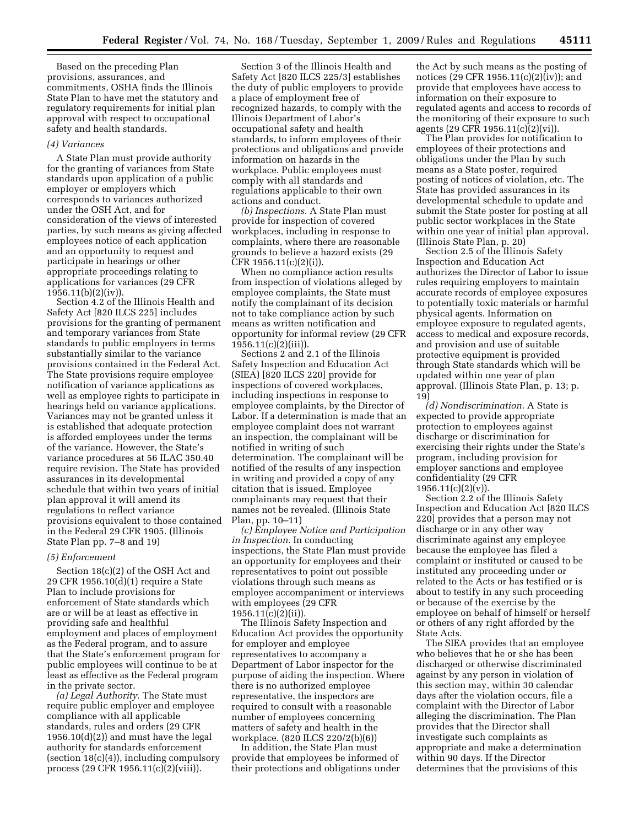Based on the preceding Plan provisions, assurances, and commitments, OSHA finds the Illinois State Plan to have met the statutory and regulatory requirements for initial plan approval with respect to occupational safety and health standards.

#### *(4) Variances*

A State Plan must provide authority for the granting of variances from State standards upon application of a public employer or employers which corresponds to variances authorized under the OSH Act, and for consideration of the views of interested parties, by such means as giving affected employees notice of each application and an opportunity to request and participate in hearings or other appropriate proceedings relating to applications for variances (29 CFR  $1956.11(b)(2)(iv)$ ).

Section 4.2 of the Illinois Health and Safety Act [820 ILCS 225] includes provisions for the granting of permanent and temporary variances from State standards to public employers in terms substantially similar to the variance provisions contained in the Federal Act. The State provisions require employee notification of variance applications as well as employee rights to participate in hearings held on variance applications. Variances may not be granted unless it is established that adequate protection is afforded employees under the terms of the variance. However, the State's variance procedures at 56 ILAC 350.40 require revision. The State has provided assurances in its developmental schedule that within two years of initial plan approval it will amend its regulations to reflect variance provisions equivalent to those contained in the Federal 29 CFR 1905. (Illinois State Plan pp. 7–8 and 19)

## *(5) Enforcement*

Section 18(c)(2) of the OSH Act and 29 CFR 1956.10(d)(1) require a State Plan to include provisions for enforcement of State standards which are or will be at least as effective in providing safe and healthful employment and places of employment as the Federal program, and to assure that the State's enforcement program for public employees will continue to be at least as effective as the Federal program in the private sector.

*(a) Legal Authority.* The State must require public employer and employee compliance with all applicable standards, rules and orders (29 CFR 1956.10(d)(2)) and must have the legal authority for standards enforcement (section 18(c)(4)), including compulsory process (29 CFR 1956.11(c)(2)(viii)).

Section 3 of the Illinois Health and Safety Act [820 ILCS 225/3] establishes the duty of public employers to provide a place of employment free of recognized hazards, to comply with the Illinois Department of Labor's occupational safety and health standards, to inform employees of their protections and obligations and provide information on hazards in the workplace. Public employees must comply with all standards and regulations applicable to their own actions and conduct.

*(b) Inspections.* A State Plan must provide for inspection of covered workplaces, including in response to complaints, where there are reasonable grounds to believe a hazard exists (29 CFR 1956.11(c)(2)(i)).

When no compliance action results from inspection of violations alleged by employee complaints, the State must notify the complainant of its decision not to take compliance action by such means as written notification and opportunity for informal review (29 CFR  $1956.11(c)(2)(iii)$ ).

Sections 2 and 2.1 of the Illinois Safety Inspection and Education Act (SIEA) [820 ILCS 220] provide for inspections of covered workplaces, including inspections in response to employee complaints, by the Director of Labor. If a determination is made that an employee complaint does not warrant an inspection, the complainant will be notified in writing of such determination. The complainant will be notified of the results of any inspection in writing and provided a copy of any citation that is issued. Employee complainants may request that their names not be revealed. (Illinois State Plan, pp. 10–11)

*(c) Employee Notice and Participation in Inspection.* In conducting inspections, the State Plan must provide an opportunity for employees and their representatives to point out possible violations through such means as employee accompaniment or interviews with employees (29 CFR 1956.11(c)(2)(ii)).

The Illinois Safety Inspection and Education Act provides the opportunity for employer and employee representatives to accompany a Department of Labor inspector for the purpose of aiding the inspection. Where there is no authorized employee representative, the inspectors are required to consult with a reasonable number of employees concerning matters of safety and health in the workplace. (820 ILCS 220/2(b)(6))

In addition, the State Plan must provide that employees be informed of their protections and obligations under

the Act by such means as the posting of notices (29 CFR 1956.11(c)(2)(iv)); and provide that employees have access to information on their exposure to regulated agents and access to records of the monitoring of their exposure to such agents (29 CFR 1956.11(c)(2)(vi)).

The Plan provides for notification to employees of their protections and obligations under the Plan by such means as a State poster, required posting of notices of violation, etc. The State has provided assurances in its developmental schedule to update and submit the State poster for posting at all public sector workplaces in the State within one year of initial plan approval. (Illinois State Plan, p. 20)

Section 2.5 of the Illinois Safety Inspection and Education Act authorizes the Director of Labor to issue rules requiring employers to maintain accurate records of employee exposures to potentially toxic materials or harmful physical agents. Information on employee exposure to regulated agents, access to medical and exposure records, and provision and use of suitable protective equipment is provided through State standards which will be updated within one year of plan approval. (Illinois State Plan, p. 13; p. 19)

*(d) Nondiscrimination.* A State is expected to provide appropriate protection to employees against discharge or discrimination for exercising their rights under the State's program, including provision for employer sanctions and employee confidentiality (29 CFR  $1956.11(c)(2)(v)$ 

Section 2.2 of the Illinois Safety Inspection and Education Act [820 ILCS 220] provides that a person may not discharge or in any other way discriminate against any employee because the employee has filed a complaint or instituted or caused to be instituted any proceeding under or related to the Acts or has testified or is about to testify in any such proceeding or because of the exercise by the employee on behalf of himself or herself or others of any right afforded by the State Acts.

The SIEA provides that an employee who believes that he or she has been discharged or otherwise discriminated against by any person in violation of this section may, within 30 calendar days after the violation occurs, file a complaint with the Director of Labor alleging the discrimination. The Plan provides that the Director shall investigate such complaints as appropriate and make a determination within 90 days. If the Director determines that the provisions of this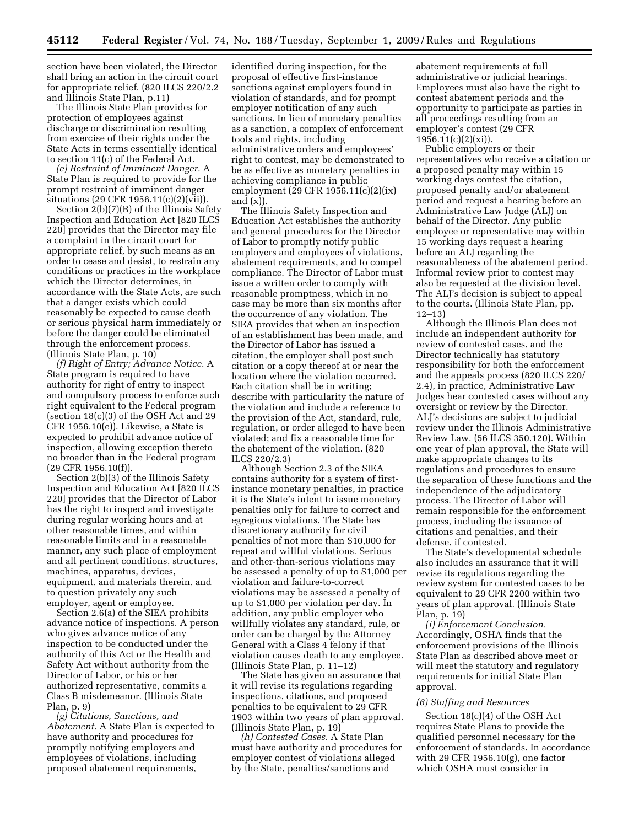section have been violated, the Director shall bring an action in the circuit court for appropriate relief. (820 ILCS 220/2.2 and Illinois State Plan, p.11)

The Illinois State Plan provides for protection of employees against discharge or discrimination resulting from exercise of their rights under the State Acts in terms essentially identical to section 11(c) of the Federal Act.

*(e) Restraint of Imminent Danger.* A State Plan is required to provide for the prompt restraint of imminent danger situations (29 CFR 1956.11(c)(2)(vii)).

Section 2(b)(7)(B) of the Illinois Safety Inspection and Education Act [820 ILCS 220] provides that the Director may file a complaint in the circuit court for appropriate relief, by such means as an order to cease and desist, to restrain any conditions or practices in the workplace which the Director determines, in accordance with the State Acts, are such that a danger exists which could reasonably be expected to cause death or serious physical harm immediately or before the danger could be eliminated through the enforcement process. (Illinois State Plan, p. 10)

*(f) Right of Entry; Advance Notice.* A State program is required to have authority for right of entry to inspect and compulsory process to enforce such right equivalent to the Federal program (section 18(c)(3) of the OSH Act and 29 CFR 1956.10(e)). Likewise, a State is expected to prohibit advance notice of inspection, allowing exception thereto no broader than in the Federal program (29 CFR 1956.10(f)).

Section 2(b)(3) of the Illinois Safety Inspection and Education Act [820 ILCS 220] provides that the Director of Labor has the right to inspect and investigate during regular working hours and at other reasonable times, and within reasonable limits and in a reasonable manner, any such place of employment and all pertinent conditions, structures, machines, apparatus, devices, equipment, and materials therein, and to question privately any such employer, agent or employee.

Section 2.6(a) of the SIEA prohibits advance notice of inspections. A person who gives advance notice of any inspection to be conducted under the authority of this Act or the Health and Safety Act without authority from the Director of Labor, or his or her authorized representative, commits a Class B misdemeanor. (Illinois State Plan, p. 9)

*(g) Citations, Sanctions, and Abatement.* A State Plan is expected to have authority and procedures for promptly notifying employers and employees of violations, including proposed abatement requirements,

identified during inspection, for the proposal of effective first-instance sanctions against employers found in violation of standards, and for prompt employer notification of any such sanctions. In lieu of monetary penalties as a sanction, a complex of enforcement tools and rights, including administrative orders and employees' right to contest, may be demonstrated to be as effective as monetary penalties in achieving compliance in public employment (29 CFR 1956.11(c)(2)(ix) and  $(x)$ ).

The Illinois Safety Inspection and Education Act establishes the authority and general procedures for the Director of Labor to promptly notify public employers and employees of violations, abatement requirements, and to compel compliance. The Director of Labor must issue a written order to comply with reasonable promptness, which in no case may be more than six months after the occurrence of any violation. The SIEA provides that when an inspection of an establishment has been made, and the Director of Labor has issued a citation, the employer shall post such citation or a copy thereof at or near the location where the violation occurred. Each citation shall be in writing; describe with particularity the nature of the violation and include a reference to the provision of the Act, standard, rule, regulation, or order alleged to have been violated; and fix a reasonable time for the abatement of the violation. (820 ILCS 220/2.3)

Although Section 2.3 of the SIEA contains authority for a system of firstinstance monetary penalties, in practice it is the State's intent to issue monetary penalties only for failure to correct and egregious violations. The State has discretionary authority for civil penalties of not more than \$10,000 for repeat and willful violations. Serious and other-than-serious violations may be assessed a penalty of up to \$1,000 per violation and failure-to-correct violations may be assessed a penalty of up to \$1,000 per violation per day. In addition, any public employer who willfully violates any standard, rule, or order can be charged by the Attorney General with a Class 4 felony if that violation causes death to any employee. (Illinois State Plan, p. 11–12)

The State has given an assurance that it will revise its regulations regarding inspections, citations, and proposed penalties to be equivalent to 29 CFR 1903 within two years of plan approval. (Illinois State Plan, p. 19)

*(h) Contested Cases.* A State Plan must have authority and procedures for employer contest of violations alleged by the State, penalties/sanctions and

abatement requirements at full administrative or judicial hearings. Employees must also have the right to contest abatement periods and the opportunity to participate as parties in all proceedings resulting from an employer's contest (29 CFR  $1956.11(c)(2)(xi)$ .

Public employers or their representatives who receive a citation or a proposed penalty may within 15 working days contest the citation, proposed penalty and/or abatement period and request a hearing before an Administrative Law Judge (ALJ) on behalf of the Director. Any public employee or representative may within 15 working days request a hearing before an ALJ regarding the reasonableness of the abatement period. Informal review prior to contest may also be requested at the division level. The ALJ's decision is subject to appeal to the courts. (Illinois State Plan, pp. 12–13)

Although the Illinois Plan does not include an independent authority for review of contested cases, and the Director technically has statutory responsibility for both the enforcement and the appeals process (820 ILCS 220/ 2.4), in practice, Administrative Law Judges hear contested cases without any oversight or review by the Director. ALJ's decisions are subject to judicial review under the Illinois Administrative Review Law. (56 ILCS 350.120). Within one year of plan approval, the State will make appropriate changes to its regulations and procedures to ensure the separation of these functions and the independence of the adjudicatory process. The Director of Labor will remain responsible for the enforcement process, including the issuance of citations and penalties, and their defense, if contested.

The State's developmental schedule also includes an assurance that it will revise its regulations regarding the review system for contested cases to be equivalent to 29 CFR 2200 within two years of plan approval. (Illinois State Plan, p. 19)

*(i) Enforcement Conclusion.*  Accordingly, OSHA finds that the enforcement provisions of the Illinois State Plan as described above meet or will meet the statutory and regulatory requirements for initial State Plan approval.

## *(6) Staffing and Resources*

Section 18(c)(4) of the OSH Act requires State Plans to provide the qualified personnel necessary for the enforcement of standards. In accordance with 29 CFR 1956.10(g), one factor which OSHA must consider in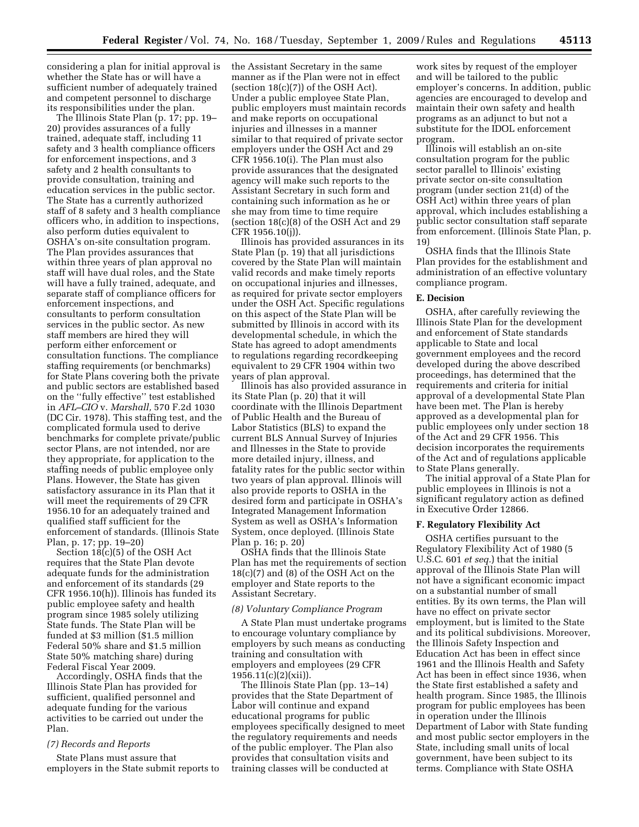considering a plan for initial approval is whether the State has or will have a sufficient number of adequately trained and competent personnel to discharge its responsibilities under the plan.

The Illinois State Plan (p. 17; pp. 19– 20) provides assurances of a fully trained, adequate staff, including 11 safety and 3 health compliance officers for enforcement inspections, and 3 safety and 2 health consultants to provide consultation, training and education services in the public sector. The State has a currently authorized staff of 8 safety and 3 health compliance officers who, in addition to inspections, also perform duties equivalent to OSHA's on-site consultation program. The Plan provides assurances that within three years of plan approval no staff will have dual roles, and the State will have a fully trained, adequate, and separate staff of compliance officers for enforcement inspections, and consultants to perform consultation services in the public sector. As new staff members are hired they will perform either enforcement or consultation functions. The compliance staffing requirements (or benchmarks) for State Plans covering both the private and public sectors are established based on the ''fully effective'' test established in *AFL–CIO* v. *Marshall,* 570 F.2d 1030 (DC Cir. 1978). This staffing test, and the complicated formula used to derive benchmarks for complete private/public sector Plans, are not intended, nor are they appropriate, for application to the staffing needs of public employee only Plans. However, the State has given satisfactory assurance in its Plan that it will meet the requirements of 29 CFR 1956.10 for an adequately trained and qualified staff sufficient for the enforcement of standards. (Illinois State Plan, p. 17; pp. 19–20)

Section 18(c)(5) of the OSH Act requires that the State Plan devote adequate funds for the administration and enforcement of its standards (29 CFR 1956.10(h)). Illinois has funded its public employee safety and health program since 1985 solely utilizing State funds. The State Plan will be funded at \$3 million (\$1.5 million Federal 50% share and \$1.5 million State 50% matching share) during Federal Fiscal Year 2009.

Accordingly, OSHA finds that the Illinois State Plan has provided for sufficient, qualified personnel and adequate funding for the various activities to be carried out under the Plan.

## *(7) Records and Reports*

State Plans must assure that employers in the State submit reports to the Assistant Secretary in the same manner as if the Plan were not in effect (section  $18(c)(7)$ ) of the OSH Act). Under a public employee State Plan, public employers must maintain records and make reports on occupational injuries and illnesses in a manner similar to that required of private sector employers under the OSH Act and 29 CFR 1956.10(i). The Plan must also provide assurances that the designated agency will make such reports to the Assistant Secretary in such form and containing such information as he or she may from time to time require (section 18(c)(8) of the OSH Act and 29 CFR 1956.10(j)).

Illinois has provided assurances in its State Plan (p. 19) that all jurisdictions covered by the State Plan will maintain valid records and make timely reports on occupational injuries and illnesses, as required for private sector employers under the OSH Act. Specific regulations on this aspect of the State Plan will be submitted by Illinois in accord with its developmental schedule, in which the State has agreed to adopt amendments to regulations regarding recordkeeping equivalent to 29 CFR 1904 within two years of plan approval.

Illinois has also provided assurance in its State Plan (p. 20) that it will coordinate with the Illinois Department of Public Health and the Bureau of Labor Statistics (BLS) to expand the current BLS Annual Survey of Injuries and Illnesses in the State to provide more detailed injury, illness, and fatality rates for the public sector within two years of plan approval. Illinois will also provide reports to OSHA in the desired form and participate in OSHA's Integrated Management Information System as well as OSHA's Information System, once deployed. (Illinois State Plan p. 16; p. 20)

OSHA finds that the Illinois State Plan has met the requirements of section 18(c)(7) and (8) of the OSH Act on the employer and State reports to the Assistant Secretary.

## *(8) Voluntary Compliance Program*

A State Plan must undertake programs to encourage voluntary compliance by employers by such means as conducting training and consultation with employers and employees (29 CFR  $1956.11(c)(2)(xii)$ .

The Illinois State Plan (pp. 13–14) provides that the State Department of Labor will continue and expand educational programs for public employees specifically designed to meet the regulatory requirements and needs of the public employer. The Plan also provides that consultation visits and training classes will be conducted at

work sites by request of the employer and will be tailored to the public employer's concerns. In addition, public agencies are encouraged to develop and maintain their own safety and health programs as an adjunct to but not a substitute for the IDOL enforcement program.

Illinois will establish an on-site consultation program for the public sector parallel to Illinois' existing private sector on-site consultation program (under section 21(d) of the OSH Act) within three years of plan approval, which includes establishing a public sector consultation staff separate from enforcement. (Illinois State Plan, p. 19)

OSHA finds that the Illinois State Plan provides for the establishment and administration of an effective voluntary compliance program.

### **E. Decision**

OSHA, after carefully reviewing the Illinois State Plan for the development and enforcement of State standards applicable to State and local government employees and the record developed during the above described proceedings, has determined that the requirements and criteria for initial approval of a developmental State Plan have been met. The Plan is hereby approved as a developmental plan for public employees only under section 18 of the Act and 29 CFR 1956. This decision incorporates the requirements of the Act and of regulations applicable to State Plans generally.

The initial approval of a State Plan for public employees in Illinois is not a significant regulatory action as defined in Executive Order 12866.

## **F. Regulatory Flexibility Act**

OSHA certifies pursuant to the Regulatory Flexibility Act of 1980 (5 U.S.C. 601 *et seq.*) that the initial approval of the Illinois State Plan will not have a significant economic impact on a substantial number of small entities. By its own terms, the Plan will have no effect on private sector employment, but is limited to the State and its political subdivisions. Moreover, the Illinois Safety Inspection and Education Act has been in effect since 1961 and the Illinois Health and Safety Act has been in effect since 1936, when the State first established a safety and health program. Since 1985, the Illinois program for public employees has been in operation under the Illinois Department of Labor with State funding and most public sector employers in the State, including small units of local government, have been subject to its terms. Compliance with State OSHA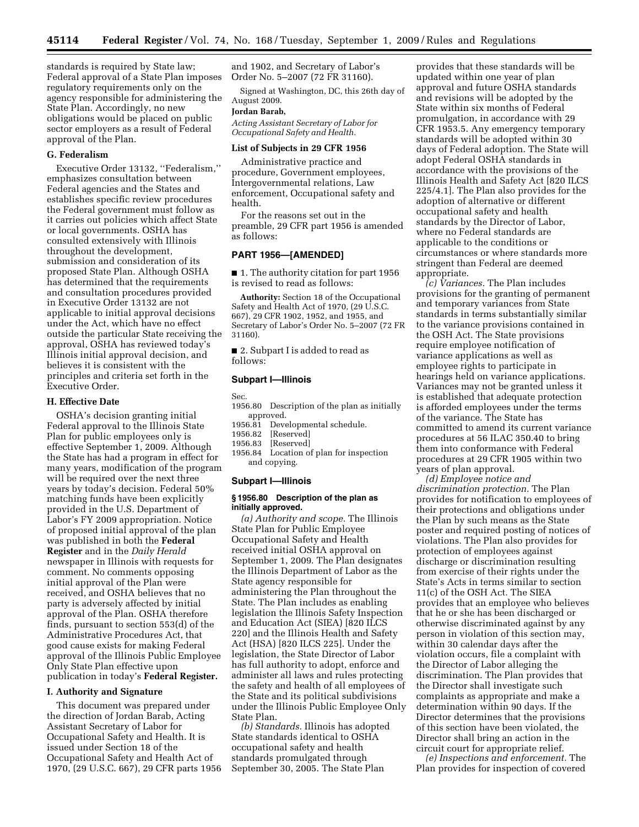standards is required by State law; Federal approval of a State Plan imposes regulatory requirements only on the agency responsible for administering the State Plan. Accordingly, no new obligations would be placed on public sector employers as a result of Federal approval of the Plan.

## **G. Federalism**

Executive Order 13132, ''Federalism,'' emphasizes consultation between Federal agencies and the States and establishes specific review procedures the Federal government must follow as it carries out policies which affect State or local governments. OSHA has consulted extensively with Illinois throughout the development, submission and consideration of its proposed State Plan. Although OSHA has determined that the requirements and consultation procedures provided in Executive Order 13132 are not applicable to initial approval decisions under the Act, which have no effect outside the particular State receiving the approval, OSHA has reviewed today's Illinois initial approval decision, and believes it is consistent with the principles and criteria set forth in the Executive Order.

#### **H. Effective Date**

OSHA's decision granting initial Federal approval to the Illinois State Plan for public employees only is effective September 1, 2009. Although the State has had a program in effect for many years, modification of the program will be required over the next three years by today's decision. Federal 50% matching funds have been explicitly provided in the U.S. Department of Labor's FY 2009 appropriation. Notice of proposed initial approval of the plan was published in both the **Federal Register** and in the *Daily Herald*  newspaper in Illinois with requests for comment. No comments opposing initial approval of the Plan were received, and OSHA believes that no party is adversely affected by initial approval of the Plan. OSHA therefore finds, pursuant to section 553(d) of the Administrative Procedures Act, that good cause exists for making Federal approval of the Illinois Public Employee Only State Plan effective upon publication in today's **Federal Register.** 

### **I. Authority and Signature**

This document was prepared under the direction of Jordan Barab, Acting Assistant Secretary of Labor for Occupational Safety and Health. It is issued under Section 18 of the Occupational Safety and Health Act of 1970, (29 U.S.C. 667), 29 CFR parts 1956

and 1902, and Secretary of Labor's Order No. 5–2007 (72 FR 31160).

Signed at Washington, DC, this 26th day of August 2009.

#### **Jordan Barab,**

*Acting Assistant Secretary of Labor for Occupational Safety and Health.* 

### **List of Subjects in 29 CFR 1956**

Administrative practice and procedure, Government employees, Intergovernmental relations, Law enforcement, Occupational safety and health.

For the reasons set out in the preamble, 29 CFR part 1956 is amended as follows:

## **PART 1956—[AMENDED]**

■ 1. The authority citation for part 1956 is revised to read as follows:

**Authority:** Section 18 of the Occupational Safety and Health Act of 1970, (29 U.S.C. 667), 29 CFR 1902, 1952, and 1955, and Secretary of Labor's Order No. 5–2007 (72 FR 31160).

■ 2. Subpart I is added to read as follows:

### **Subpart I—Illinois**

Sec.

- 1956.80 Description of the plan as initially approved.
- 1956.81 Developmental schedule.
- 1956.82 [Reserved]
- 1956.83 [Reserved]
- 1956.84 Location of plan for inspection and copying.

### **Subpart I—Illinois**

## **§ 1956.80 Description of the plan as initially approved.**

*(a) Authority and scope.* The Illinois State Plan for Public Employee Occupational Safety and Health received initial OSHA approval on September 1, 2009. The Plan designates the Illinois Department of Labor as the State agency responsible for administering the Plan throughout the State. The Plan includes as enabling legislation the Illinois Safety Inspection and Education Act (SIEA) [820 ILCS 220] and the Illinois Health and Safety Act (HSA) [820 ILCS 225]. Under the legislation, the State Director of Labor has full authority to adopt, enforce and administer all laws and rules protecting the safety and health of all employees of the State and its political subdivisions under the Illinois Public Employee Only State Plan.

*(b) Standards.* Illinois has adopted State standards identical to OSHA occupational safety and health standards promulgated through September 30, 2005. The State Plan

provides that these standards will be updated within one year of plan approval and future OSHA standards and revisions will be adopted by the State within six months of Federal promulgation, in accordance with 29 CFR 1953.5. Any emergency temporary standards will be adopted within 30 days of Federal adoption. The State will adopt Federal OSHA standards in accordance with the provisions of the Illinois Health and Safety Act [820 ILCS 225/4.1]. The Plan also provides for the adoption of alternative or different occupational safety and health standards by the Director of Labor, where no Federal standards are applicable to the conditions or circumstances or where standards more stringent than Federal are deemed appropriate.

*(c) Variances.* The Plan includes provisions for the granting of permanent and temporary variances from State standards in terms substantially similar to the variance provisions contained in the OSH Act. The State provisions require employee notification of variance applications as well as employee rights to participate in hearings held on variance applications. Variances may not be granted unless it is established that adequate protection is afforded employees under the terms of the variance. The State has committed to amend its current variance procedures at 56 ILAC 350.40 to bring them into conformance with Federal procedures at 29 CFR 1905 within two years of plan approval.

*(d) Employee notice and discrimination protection.* The Plan provides for notification to employees of their protections and obligations under the Plan by such means as the State poster and required posting of notices of violations. The Plan also provides for protection of employees against discharge or discrimination resulting from exercise of their rights under the State's Acts in terms similar to section 11(c) of the OSH Act. The SIEA provides that an employee who believes that he or she has been discharged or otherwise discriminated against by any person in violation of this section may, within 30 calendar days after the violation occurs, file a complaint with the Director of Labor alleging the discrimination. The Plan provides that the Director shall investigate such complaints as appropriate and make a determination within 90 days. If the Director determines that the provisions of this section have been violated, the Director shall bring an action in the circuit court for appropriate relief.

*(e) Inspections and enforcement.* The Plan provides for inspection of covered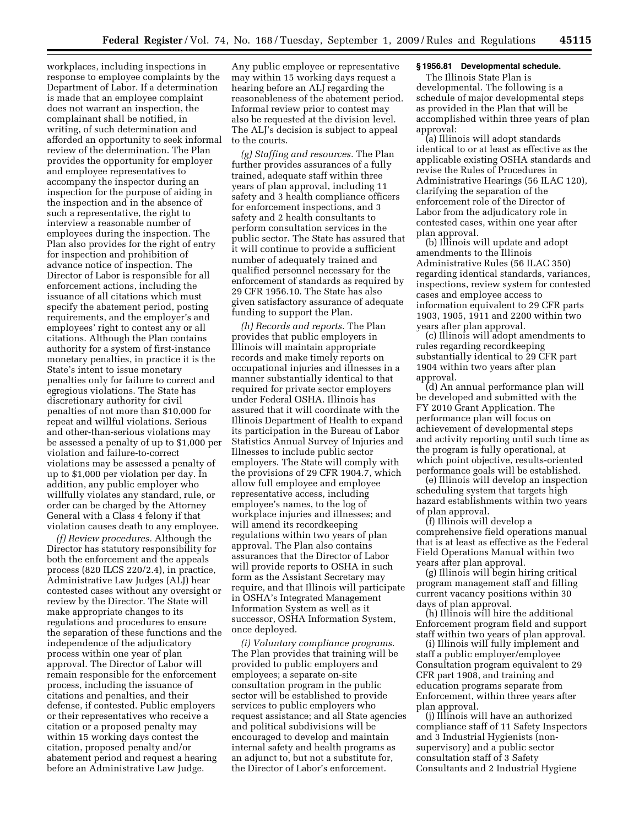workplaces, including inspections in response to employee complaints by the Department of Labor. If a determination is made that an employee complaint does not warrant an inspection, the complainant shall be notified, in writing, of such determination and afforded an opportunity to seek informal review of the determination. The Plan provides the opportunity for employer and employee representatives to accompany the inspector during an inspection for the purpose of aiding in the inspection and in the absence of such a representative, the right to interview a reasonable number of employees during the inspection. The Plan also provides for the right of entry for inspection and prohibition of advance notice of inspection. The Director of Labor is responsible for all enforcement actions, including the issuance of all citations which must specify the abatement period, posting requirements, and the employer's and employees' right to contest any or all citations. Although the Plan contains authority for a system of first-instance monetary penalties, in practice it is the State's intent to issue monetary penalties only for failure to correct and egregious violations. The State has discretionary authority for civil penalties of not more than \$10,000 for repeat and willful violations. Serious and other-than-serious violations may be assessed a penalty of up to \$1,000 per violation and failure-to-correct violations may be assessed a penalty of up to \$1,000 per violation per day. In addition, any public employer who willfully violates any standard, rule, or order can be charged by the Attorney General with a Class 4 felony if that violation causes death to any employee.

*(f) Review procedures.* Although the Director has statutory responsibility for both the enforcement and the appeals process (820 ILCS 220/2.4), in practice, Administrative Law Judges (ALJ) hear contested cases without any oversight or review by the Director. The State will make appropriate changes to its regulations and procedures to ensure the separation of these functions and the independence of the adjudicatory process within one year of plan approval. The Director of Labor will remain responsible for the enforcement process, including the issuance of citations and penalties, and their defense, if contested. Public employers or their representatives who receive a citation or a proposed penalty may within 15 working days contest the citation, proposed penalty and/or abatement period and request a hearing before an Administrative Law Judge.

Any public employee or representative may within 15 working days request a hearing before an ALJ regarding the reasonableness of the abatement period. Informal review prior to contest may also be requested at the division level. The ALJ's decision is subject to appeal to the courts.

*(g) Staffing and resources.* The Plan further provides assurances of a fully trained, adequate staff within three years of plan approval, including 11 safety and 3 health compliance officers for enforcement inspections, and 3 safety and 2 health consultants to perform consultation services in the public sector. The State has assured that it will continue to provide a sufficient number of adequately trained and qualified personnel necessary for the enforcement of standards as required by 29 CFR 1956.10. The State has also given satisfactory assurance of adequate funding to support the Plan.

*(h) Records and reports.* The Plan provides that public employers in Illinois will maintain appropriate records and make timely reports on occupational injuries and illnesses in a manner substantially identical to that required for private sector employers under Federal OSHA. Illinois has assured that it will coordinate with the Illinois Department of Health to expand its participation in the Bureau of Labor Statistics Annual Survey of Injuries and Illnesses to include public sector employers. The State will comply with the provisions of 29 CFR 1904.7, which allow full employee and employee representative access, including employee's names, to the log of workplace injuries and illnesses; and will amend its recordkeeping regulations within two years of plan approval. The Plan also contains assurances that the Director of Labor will provide reports to OSHA in such form as the Assistant Secretary may require, and that Illinois will participate in OSHA's Integrated Management Information System as well as it successor, OSHA Information System, once deployed.

*(i) Voluntary compliance programs.*  The Plan provides that training will be provided to public employers and employees; a separate on-site consultation program in the public sector will be established to provide services to public employers who request assistance; and all State agencies and political subdivisions will be encouraged to develop and maintain internal safety and health programs as an adjunct to, but not a substitute for, the Director of Labor's enforcement.

# **§ 1956.81 Developmental schedule.**

The Illinois State Plan is developmental. The following is a schedule of major developmental steps as provided in the Plan that will be accomplished within three years of plan approval:

(a) Illinois will adopt standards identical to or at least as effective as the applicable existing OSHA standards and revise the Rules of Procedures in Administrative Hearings (56 ILAC 120), clarifying the separation of the enforcement role of the Director of Labor from the adjudicatory role in contested cases, within one year after plan approval.

(b) Illinois will update and adopt amendments to the Illinois Administrative Rules (56 ILAC 350) regarding identical standards, variances, inspections, review system for contested cases and employee access to information equivalent to 29 CFR parts 1903, 1905, 1911 and 2200 within two years after plan approval.

(c) Illinois will adopt amendments to rules regarding recordkeeping substantially identical to 29 CFR part 1904 within two years after plan approval.

(d) An annual performance plan will be developed and submitted with the FY 2010 Grant Application. The performance plan will focus on achievement of developmental steps and activity reporting until such time as the program is fully operational, at which point objective, results-oriented performance goals will be established.

(e) Illinois will develop an inspection scheduling system that targets high hazard establishments within two years of plan approval.

(f) Illinois will develop a comprehensive field operations manual that is at least as effective as the Federal Field Operations Manual within two years after plan approval.

(g) Illinois will begin hiring critical program management staff and filling current vacancy positions within 30 days of plan approval.

(h) Illinois will hire the additional Enforcement program field and support staff within two years of plan approval.

(i) Illinois will fully implement and staff a public employer/employee Consultation program equivalent to 29 CFR part 1908, and training and education programs separate from Enforcement, within three years after plan approval.

(j) Illinois will have an authorized compliance staff of 11 Safety Inspectors and 3 Industrial Hygienists (nonsupervisory) and a public sector consultation staff of 3 Safety Consultants and 2 Industrial Hygiene